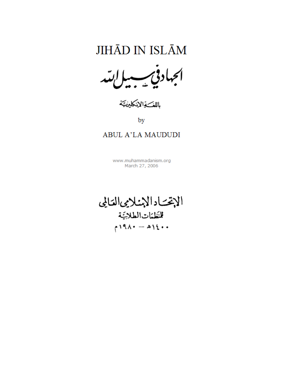باللف والإنكليزي

by

## **ABUL A'LA MAUDUDI**

www.muhammadanism.org March 27, 2006

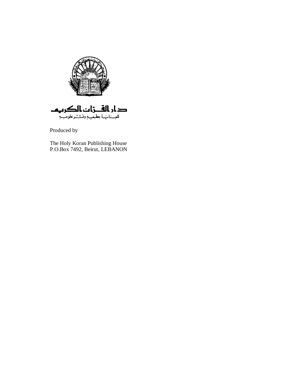

دار الفــزات الکریم للعسنات بطبعي وونست علوم ببه

Produced by

The Holy Koran Publishing House P.O.Box 7492, Beirut, LEBANON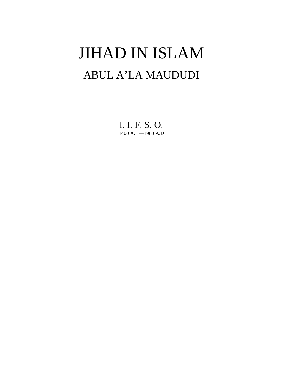# JIHAD IN ISLAM ABUL A'LA MAUDUDI

I. I. F. S. O. 1400 A.H—1980 A.D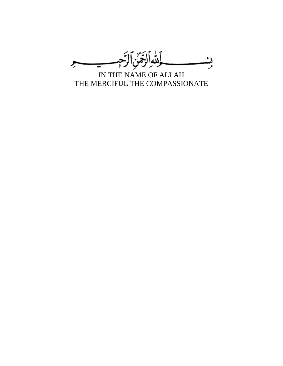

IN THE NAME OF ALLAH THE MERCIFUL THE COMPASSIONATE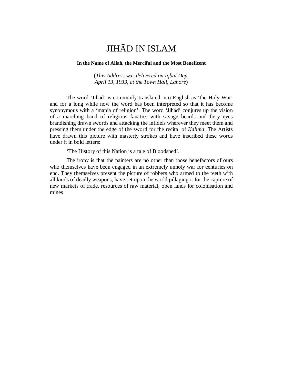#### **In the Name of Allah, the Merciful and the Most Beneficent**

(*This Address was delivered on Iqbal Day, April 13, 1939, at the Town Hall, Lahore*)

The word 'Jihād' is commonly translated into English as 'the Holy War' and for a long while now the word has been interpreted so that it has become synonymous with a 'mania of religion'. The word 'Jihād' conjures up the vision of a marching band of religious fanatics with savage beards and fiery eyes brandishing drawn swords and attacking the infidels wherever they meet them and pressing them under the edge of the sword for the recital of *Kalima*. The Artists have drawn this picture with masterly strokes and have inscribed these words under it in bold letters:

'The History of this Nation is a tale of Bloodshed'.

The irony is that the painters are no other than those benefactors of ours who themselves have been engaged in an extremely unholy war for centuries on end. They themselves present the picture of robbers who armed to the teeth with all kinds of deadly weapons, have set upon the world pillaging it for the capture of new markets of trade, resources of raw material, open lands for colonisation and mines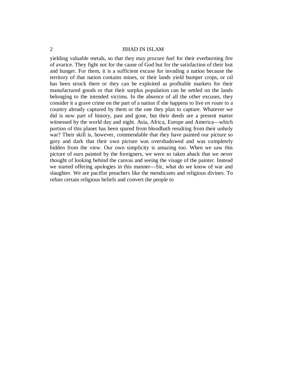yielding valuable metals, so that they may procure fuel for their everburning fire of avarice. They fight not for the cause of God but for the satisfaction of their lust and hunger. For them, it is a sufficient excuse for invading a nation because the territory of that nation contains mines, or their lands yield bumper crops, or oil has been struck there or they can be exploited as profitable markets for their manufactured goods or that their surplus population can be settled on the lands belonging to the intended victims. In the absence of all the other excuses, they consider it a grave crime on the part of a nation if she happens to live *en route* to a country already captured by them or the one they plan to capture. Whatever we did is now part of history, past and gone, but their deeds are a present matter witnessed by the world day and night. Asia, Africa, Europe and America—which portion of this planet has been spared from bloodbath resulting from their unholy war? Their skill is, however, commendable that they have painted our picture so gory and dark that their own picture was overshadowed and was completely hidden from the view. Our own simplicity is amazing too. When we saw this picture of ours painted by the foreigners, we were so taken aback that we never thought of looking behind the canvas and seeing the visage of the painter. Instead we started offering apologies in this manner—Sir, what do we know of war and slaughter. We are pacifist preachers like the mendicants and religious divines. To refute certain religious beliefs and convert the people to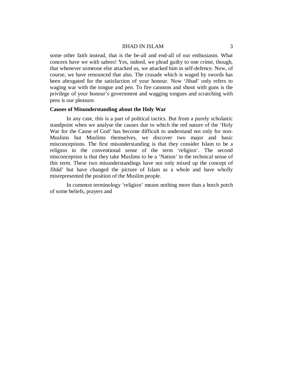some other faith instead, that is the be-all and end-all of our enthusiasm. What concern have we with sabres! Yes, indeed, we plead guilty to one crime, though, that whenever someone else attacked us, we attacked him in self-defence. Now, of course, we have renounced that also. The crusade which is waged by swords has been abrogated for the satisfaction of your honour. Now 'Jihad' only refers to waging war with the tongue and pen. To fire cannons and shoot with guns is the privilege of your honour's government and wagging tongues and scratching with pens is our pleasure.

#### **Causes of Misunderstanding about the Holy War**

In any case, this is a part of political tactics. But from a purely scholastic standpoint when we analyse the causes due to which the red nature of the 'Holy War for the Cause of God' has become difficult to understand not only for non-Muslims but Muslims themselves, we discover two major and basic misconceptions. The first misunderstanding is that they consider Islam to be a religion in the conventional sense of the term 'religion'. The second misconception is that they take Muslims to be a 'Nation' in the technical sense of this term. These two misunderstandings have not only mixed up the concept of Jihād' but have changed the picture of Islam as a whole and have wholly misrepresented the position of the Muslim people.

In common terminology 'religion' means nothing more than a hotch potch of some beliefs, prayers and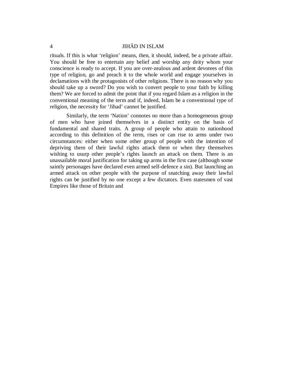rituals. If this is what 'religion' means, then, it should, indeed, be a private affair. You should be free to entertain any belief and worship any deity whom your conscience is ready to accept. If you are over-zealous and ardent devotees of this type of religion, go and preach it to the whole world and engage yourselves in declamations with the protagonists of other religions. There is no reason why you should take up a sword? Do you wish to convert people to your faith by killing them? We are forced to admit the point that if you regard Islam as a religion in the conventional meaning of the term and if, indeed, Islam be a conventional type of religion, the necessity for 'Jihad' cannot be justified.

Similarly, the term 'Nation' connotes no more than a homogeneous group of men who have joined themselves in a distinct entity on the basis of fundamental and shared traits. A group of people who attain to nationhood according to this definition of the term, rises or can rise to arms under two circumstances: either when some other group of people with the intention of depriving them of their lawful rights attack them or when they themselves wishing to usurp other people's rights launch an attack on them. There is an unassailable moral justification for taking up arms in the first case (although some saintly personages have declared even armed self-defence a sin). But launching an armed attack on other people with the purpose of snatching away their lawful rights can be justified by no one except a few dictators. Even statesmen of vast Empires like those of Britain and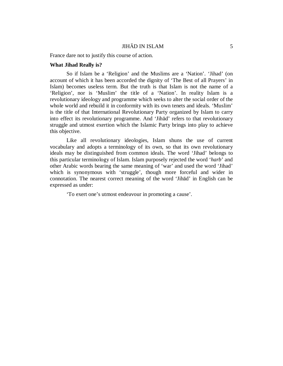France dare not to justify this course of action.

#### **What Jihad Really is?**

So if Islam be a 'Religion' and the Muslims are a 'Nation'. 'Jihad' (on account of which it has been accorded the dignity of 'The Best of all Prayers' in Islam) becomes useless term. But the truth is that Islam is not the name of a 'Religion', nor is 'Muslim' the title of a 'Nation'. In reality Islam is a revolutionary ideology and programme which seeks to alter the social order of the whole world and rebuild it in conformity with its own tenets and ideals. 'Muslim' is the title of that International Revolutionary Party organized by Islam to carry into effect its revolutionary programme. And 'Jihād' refers to that revolutionary struggle and utmost exertion which the Islamic Party brings into play to achieve this objective.

Like all revolutionary ideologies, Islam shuns the use of current vocabulary and adopts a terminology of its own, so that its own revolutionary ideals may be distinguished from common ideals. The word 'Jihad' belongs to this particular terminology of Islam. Islam purposely rejected the word '*harb*' and other Arabic words bearing the same meaning of 'war' and used the word 'Jihad' which is synonymous with 'struggle', though more forceful and wider in connotation. The nearest correct meaning of the word 'Jihād' in English can be expressed as under:

'To exert one's utmost endeavour in promoting a cause'.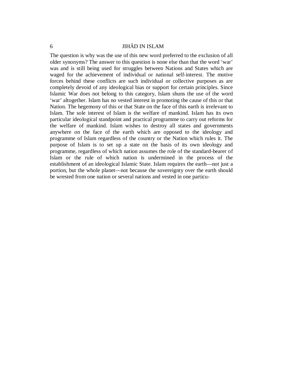The question is why was the use of this new word preferred to the exclusion of all older synonyms? The answer to this question is none else than that the word 'war' was and is still being used for struggles between Nations and States which are waged for the achievement of individual or national self-interest. The motive forces behind these conflicts are such individual or collective purposes as are completely devoid of any ideological bias or support for certain principles. Since Islamic War does not belong to this category, Islam shuns the use of the word 'war' altogether. Islam has no vested interest in promoting the cause of this or that Nation. The hegemony of this or that State on the face of this earth is irrelevant to Islam. The sole interest of Islam is the welfare of mankind. Islam has its own particular ideological standpoint and practical programme to carry out reforms for the welfare of mankind. Islam wishes to destroy all states and governments anywhere on the face of the earth which are opposed to the ideology and programme of Islam regardless of the country or the Nation which rules it. The purpose of Islam is to set up a state on the basis of its own ideology and programme, regardless of which nation assumes the role of the standard-bearer of Islam or the rule of which nation is undermined in the process of the establishment of an ideological Islamic State. Islam requires the earth—not just a portion, but the whole planet—not because the sovereignty over the earth should be wrested from one nation or several nations and vested in one particu-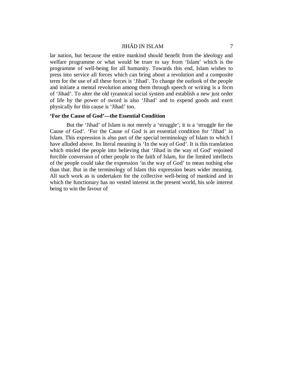lar nation, but because the entire mankind should benefit from the ideology and welfare programme or what would be truer to say from 'Islam' which is the programme of well-being for all humanity. Towards this end, Islam wishes to press into service all forces which can bring about a revolution and a composite term for the use of all these forces is 'Jihad'. To change the outlook of the people and initiate a mental revolution among them through speech or writing is a form of 'Jihad'. To alter the old tyrannical social system and establish a new just order of life by the power of sword is also 'Jihad' and to expend goods and exert physically for this cause is 'Jihad' too.

#### **'For the Cause of God'—the Essential Condition**

But the 'Jihad' of Islam is not merely a 'struggle'; it is a 'struggle for the Cause of God'. 'For the Cause of God is an essential condition for 'Jihad' in Islam. This expression is also part of the special terminology of Islam to which I have alluded above. Its literal meaning is 'In the way of God'. It is this translation which misled the people into believing that 'Jihad in the way of God' enjoined forcible conversion of other people to the faith of Islam, for the limited intellects of the people could take the expression 'in the way of God' to mean nothing else than that. But in the terminology of Islam this expression bears wider meaning. All such work as is undertaken for the collective well-being of mankind and in which the functionary has no vested interest in the present world, his sole interest being to win the favour of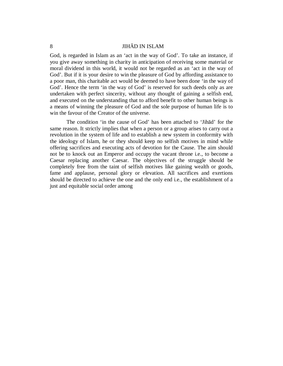God, is regarded in Islam as an 'act in the way of God'. To take an instance, if you give away something in charity in anticipation of receiving some material or moral dividend in this world, it would not be regarded as an 'act in the way of God'. But if it is your desire to win the pleasure of God by affording assistance to a poor man, this charitable act would be deemed to have been done 'in the way of God'. Hence the term 'in the way of God' is reserved for such deeds only as are undertaken with perfect sincerity, without any thought of gaining a selfish end, and executed on the understanding that to afford benefit to other human beings is a means of winning the pleasure of God and the sole purpose of human life is to win the favour of the Creator of the universe.

The condition 'in the cause of God' has been attached to 'Jihād' for the same reason. It strictly implies that when a person or a group arises to carry out a revolution in the system of life and to establish a new system in conformity with the ideology of Islam, he or they should keep no selfish motives in mind while offering sacrifices and executing acts of devotion for the Cause. The aim should not be to knock out an Emperor and occupy the vacant throne i.e., to become a Caesar replacing another Caesar. The objectives of the struggle should be completely free from the taint of selfish motives like gaining wealth or goods, fame and applause, personal glory or elevation. All sacrifices and exertions should be directed to achieve the one and the only end i.e., the establishment of a just and equitable social order among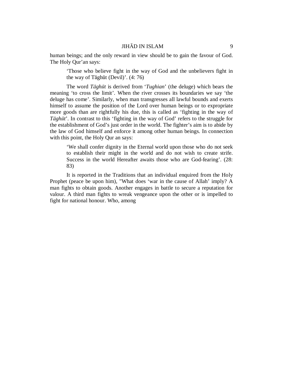human beings; and the only reward in view should be to gain the favour of God. The Holy Qur'an says:

'Those who believe fight in the way of God and the unbelievers fight in the way of Tāghūt (Devil)'. (4: 76)

The word *T*ā*gh*ū*t* is derived from '*Tughian*' (the deluge) which bears the meaning 'to cross the limit'. When the river crosses its boundaries we say 'the deluge has come'. Similarly, when man transgresses all lawful bounds and exerts himself to assume the position of the Lord over human beings or to expropriate more goods than are rightfully his due, this is called as 'fighting in the way of *T*ā*gh*ū*t*'. In contrast to this 'fighting in the way of God' refers to the struggle for the establishment of God's just order in the world. The fighter's aim is to abide by the law of God himself and enforce it among other human beings. In connection with this point, the Holy Qur an says:

'We shall confer dignity in the Eternal world upon those who do not seek to establish their might in the world and do not wish to create strife. Success in the world Hereafter awaits those who are God-fearing'. (28: 83)

It is reported in the Traditions that an individual enquired from the Holy Prophet (peace be upon him), "What does 'war in the cause of Allah' imply? A man fights to obtain goods. Another engages in battle to secure a reputation for valour. A third man fights to wreak vengeance upon the other or is impelled to fight for national honour. Who, among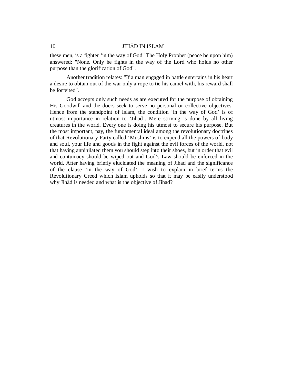these men, is a fighter 'in the way of God" The Holy Prophet (peace be upon him) answered: "None. Only he fights in the way of the Lord who holds no other purpose than the glorification of God".

Another tradition relates: "If a man engaged in battle entertains in his heart a desire to obtain out of the war only a rope to tie his camel with, his reward shall be forfeited".

God accepts only such needs as are executed for the purpose of obtaining His Goodwill and the doers seek to serve no personal or collective objectives. Hence from the standpoint of Islam, the condition 'in the way of God' is of utmost importance in relation to 'Jihad'. Mere striving is done by all living creatures in the world. Every one is doing his utmost to secure his purpose. But the most important, nay, the fundamental ideal among the revolutionary doctrines of that Revolutionary Party called 'Muslims' is to expend all the powers of body and soul, your life and goods in the fight against the evil forces of the world, not that having annihilated them you should step into their shoes, but in order that evil and contumacy should be wiped out and God's Law should be enforced in the world. After having briefly elucidated the meaning of Jihad and the significance of the clause 'in the way of God', I wish to explain in brief terms the Revolutionary Creed which Islam upholds so that it may be easily understood why Jihād is needed and what is the objective of Jihad?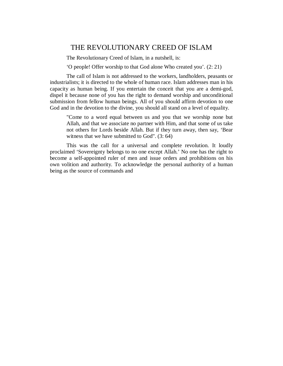## THE REVOLUTIONARY CREED OF ISLAM

The Revolutionary Creed of Islam, in a nutshell, is:

'O people! Offer worship to that God alone Who created you'. (2: 21)

The call of Islam is not addressed to the workers, landholders, peasants or industrialists; it is directed to the whole of human race. Islam addresses man in his capacity as human being. If you entertain the conceit that you are a demi-god, dispel it because none of you has the right to demand worship and unconditional submission from fellow human beings. All of you should affirm devotion to one God and in the devotion to the divine, you should all stand on a level of equality.

"Come to a word equal between us and you that we worship none but Allah, and that we associate no partner with Him, and that some of us take not others for Lords beside Allah. But if they turn away, then say, 'Bear witness that we have submitted to God". (3: 64)

This was the call for a universal and complete revolution. It loudly proclaimed 'Sovereignty belongs to no one except Allah.' No one has the right to become a self-appointed ruler of men and issue orders and prohibitions on his own volition and authority. To acknowledge the personal authority of a human being as the source of commands and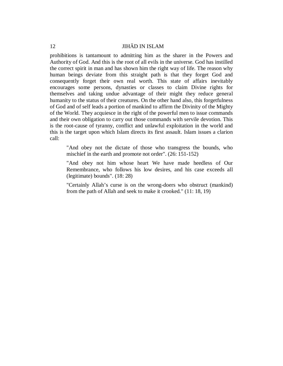prohibitions is tantamount to admitting him as the sharer in the Powers and Authority of God. And this is the root of all evils in the universe. God has instilled the correct spirit in man and has shown him the right way of life. The reason why human beings deviate from this straight path is that they forget God and consequently forget their own real worth. This state of affairs inevitably encourages some persons, dynasties or classes to claim Divine rights for themselves and taking undue advantage of their might they reduce general humanity to the status of their creatures. On the other hand also, this forgetfulness of God and of self leads a portion of mankind to affirm the Divinity of the Mighty of the World. They acquiesce in the right of the powerful men to issue commands and their own obligation to carry out those commands with servile devotion. This is the root-cause of tyranny, conflict and unlawful exploitation in the world and this is the target upon which Islam directs its first assault. Islam issues a clarion call:

"And obey not the dictate of those who transgress the bounds, who mischief in the earth and promote not order". (26: 151-152)

"And obey not him whose heart We have made heedless of Our Remembrance, who follows his low desires, and his case exceeds all (legitimate) bounds". (18: 28)

"Certainly Allah's curse is on the wrong-doers who obstruct (mankind) from the path of Allah and seek to make it crooked." (11: 18, 19)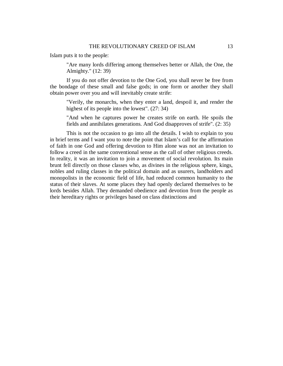Islam puts it to the people:

"Are many lords differing among themselves better or Allah, the One, the Almighty." (12: 39)

If you do not offer devotion to the One God, you shall never be free from the bondage of these small and false gods; in one form or another they shall obtain power over you and will inevitably create strife:

"Verily, the monarchs, when they enter a land, despoil it, and render the highest of its people into the lowest". (27: 34)

"And when he captures power he creates strife on earth. He spoils the fields and annihilates generations. And God disapproves of strife". (2: 35)

This is not the occasion to go into all the details. I wish to explain to you in brief terms and I want you to note the point that Islam's call for the affirmation of faith in one God and offering devotion to Him alone was not an invitation to follow a creed in the same conventional sense as the call of other religious creeds. In reality, it was an invitation to join a movement of social revolution. Its main brunt fell directly on those classes who, as divines in the religious sphere, kings, nobles and ruling classes in the political domain and as usurers, landholders and monopolists in the economic field of life, had reduced common humanity to the status of their slaves. At some places they had openly declared themselves to be lords besides Allah. They demanded obedience and devotion from the people as their hereditary rights or privileges based on class distinctions and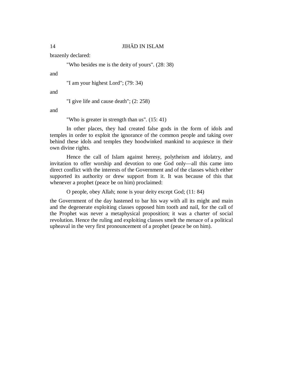brazenly declared:

"Who besides me is the deity of yours". (28: 38)

and

"I am your highest Lord"; (79: 34)

and

"I give life and cause death"; (2: 258)

and

"Who is greater in strength than us". (15: 41)

In other places, they had created false gods in the form of idols and temples in order to exploit the ignorance of the common people and taking over behind these idols and temples they hoodwinked mankind to acquiesce in their own divine rights.

Hence the call of Islam against heresy, polytheism and idolatry, and invitation to offer worship and devotion to one God only—all this came into direct conflict with the interests of the Government and of the classes which either supported its authority or drew support from it. It was because of this that whenever a prophet (peace be on him) proclaimed:

O people, obey Allah; none is your deity except God; (11: 84)

the Government of the day hastened to bar his way with all its might and main and the degenerate exploiting classes opposed him tooth and nail, for the call of the Prophet was never a metaphysical proposition; it was a charter of social revolution. Hence the ruling and exploiting classes smelt the menace of a political upheaval in the very first pronouncement of a prophet (peace be on him).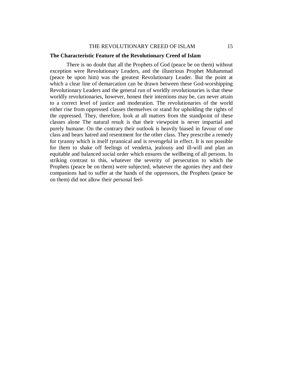#### THE REVOLUTIONARY CREED OF ISLAM 15

#### **The Characteristic Feature of the Revolutionary Creed of Islam**

There is no doubt that all the Prophets of God (peace be on them) without exception were Revolutionary Leaders, and the illustrious Prophet Muhammad (peace be upon him) was the greatest Revolutionary Leader. But the point at which a clear line of demarcation can be drawn between these God-worshipping Revolutionary Leaders and the general run of worldly revolutionaries is that these worldly revolutionaries, however, honest their intentions may be, can never attain to a correct level of justice and moderation. The revolutionaries of the world either rise from oppressed classes themselves or stand for upholding the rights of the oppressed. They, therefore, look at all matters from the standpoint of these classes alone The natural result is that their viewpoint is never impartial and purely humane. On the contrary their outlook is heavily biased in favour of one class and bears hatred and resentment for the other class. They prescribe a remedy for tyranny which is itself tyrannical and is revengeful in effect. It is not possible for them to shake off feelings of vendetta, jealousy and ill-will and plan an equitable and balanced social order which ensures the wellbeing of all persons. In striking contrast to this, whatever the severity of persecution to which the Prophets (peace be on them) were subjected, whatever the agonies they and their companions had to suffer at the hands of the oppressors, the Prophets (peace be on them) did not allow their personal feel-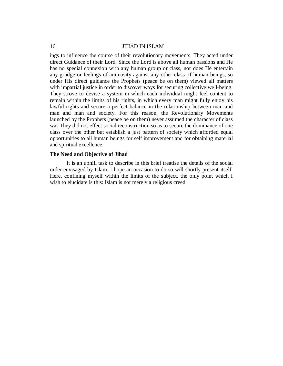ings to influence the course of their revolutionary movements. They acted under direct Guidance of their Lord. Since the Lord is above all human passions and He has no special connexion with any human group or class, nor does He entertain any grudge or feelings of animosity against any other class of human beings, so under His direct guidance the Prophets (peace be on them) viewed all matters with impartial justice in order to discover ways for securing collective well-being. They strove to devise a system in which each individual might feel content to remain within the limits of his rights, in which every man might fully enjoy his lawful rights and secure a perfect balance in the relationship between man and man and man and society. For this reason, the Revolutionary Movements launched by the Prophets (peace be on them) never assumed the character of class war They did not effect social reconstruction so as to secure the dominance of one class over the other but establish a just pattern of society which afforded equal opportunities to all human beings for self improvement and for obtaining material and spiritual excellence.

#### **The Need and Objective of Jihad**

It is an uphill task to describe in this brief treatise the details of the social order envisaged by Islam. I hope an occasion to do so will shortly present itself. Here, confining myself within the limits of the subject, the only point which I wish to elucidate is this: Islam is not merely a religious creed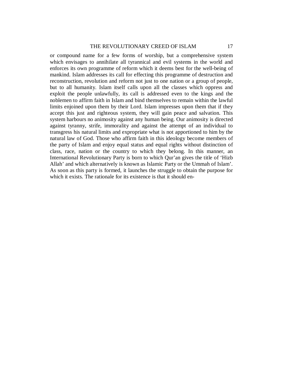#### THE REVOLUTIONARY CREED OF ISLAM 17

or compound name for a few forms of worship, but a comprehensive system which envisages to annihilate all tyrannical and evil systems in the world and enforces its own programme of reform which it deems best for the well-being of mankind. Islam addresses its call for effecting this programme of destruction and reconstruction, revolution and reform not just to one nation or a group of people, but to all humanity. Islam itself calls upon all the classes which oppress and exploit the people unlawfully, its call is addressed even to the kings and the noblemen to affirm faith in Islam and bind themselves to remain within the lawful limits enjoined upon them by their Lord. Islam impresses upon them that if they accept this just and righteous system, they will gain peace and salvation. This system harbours no animosity against any human being. Our animosity is directed against tyranny, strife, immorality and against the attempt of an individual to transgress his natural limits and expropriate what is not apportioned to him by the natural law of God. Those who affirm faith in this ideology become members of the party of Islam and enjoy equal status and equal rights without distinction of class, race, nation or the country to which they belong. In this manner, an International Revolutionary Party is born to which Qur'an gives the title of 'Hizb Allah' and which alternatively is known as Islamic Party or the Ummah of Islam'. As soon as this party is formed, it launches the struggle to obtain the purpose for which it exists. The rationale for its existence is that it should en-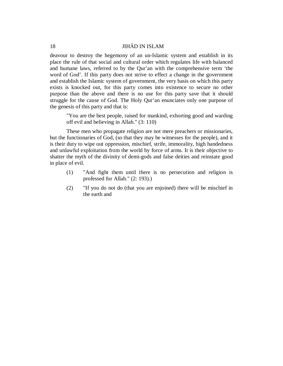deavour to destroy the hegemony of an un-Islamic system and establish in its place the rule of that social and cultural order which regulates life with balanced and humane laws, referred to by the Qur'an with the comprehensive term 'the word of God'. If this party does not strive to effect a change in the government and establish the Islamic system of government, the very basis on which this party exists is knocked out, for this party comes into existence to secure no other purpose than the above and there is no use for this party save that it should struggle for the cause of God. The Holy Qur'an enunciates only one purpose of the genesis of this party and that is:

"You are the best people, raised for mankind, exhorting good and warding off evil and believing in Allah." (3: 110)

These men who propagate religion are not mere preachers or missionaries, but the functionaries of God, (so that they may be witnesses for the people), and it is their duty to wipe out oppression, mischief, strife, immorality, high handedness and unlawful exploitation from the world by force of arms. It is their objective to shatter the myth of the divinity of demi-gods and false deities and reinstate good in place of evil.

- (1) "And fight them until there is no persecution and religion is professed for Allah." (2: 193).)
- (2) "If you do not do (that you are enjoined) there will be mischief in the earth and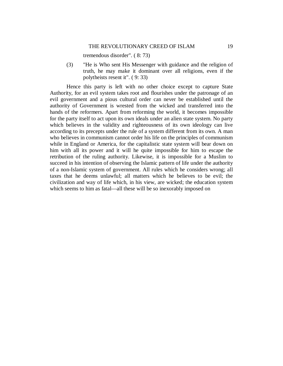#### THE REVOLUTIONARY CREED OF ISLAM 19

tremendous disorder". ( 8: 73)

(3) "He is Who sent His Messenger with guidance and the religion of truth, he may make it dominant over all religions, even if the polytheists resent it". ( 9: 33)

Hence this party is left with no other choice except to capture State Authority, for an evil system takes root and flourishes under the patronage of an evil government and a pious cultural order can never be established until the authority of Government is wrested from the wicked and transferred into the hands of the reformers. Apart from reforming the world, it becomes impossible for the party itself to act upon its own ideals under an alien state system. No party which believes in the validity and righteousness of its own ideology can live according to its precepts under the rule of a system different from its own. A man who believes in communism cannot order his life on the principles of communism while in England or America, for the capitalistic state system will bear down on him with all its power and it will he quite impossible for him to escape the retribution of the ruling authority. Likewise, it is impossible for a Muslim to succeed in his intention of observing the Islamic pattern of life under the authority of a non-Islamic system of government. All rules which he considers wrong; all taxes that he deems unlawful; all matters which he believes to be evil; the civilization and way of life which, in his view, are wicked; the education system which seems to him as fatal—all these will be so inexorably imposed on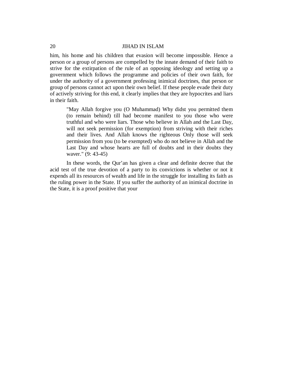him, his home and his children that evasion will become impossible. Hence a person or a group of persons are compelled by the innate demand of their faith to strive for the extirpation of the rule of an opposing ideology and setting up a government which follows the programme and policies of their own faith, for under the authority of a government professing inimical doctrines, that person or group of persons cannot act upon their own belief. If these people evade their duty of actively striving for this end, it clearly implies that they are hypocrites and liars in their faith.

"May Allah forgive you (O Muhammad) Why didst you permitted them (to remain behind) till had become manifest to you those who were truthful and who were liars. Those who believe in Allah and the Last Day, will not seek permission (for exemption) from striving with their riches and their lives. And Allah knows the righteous Only those will seek permission from you (to be exempted) who do not believe in Allah and the Last Day and whose hearts are full of doubts and in their doubts they waver." (9: 43-45)

In these words, the Qur'an has given a clear and definite decree that the acid test of the true devotion of a party to its convictions is whether or not it expends all its resources of wealth and life in the struggle for installing its faith as the ruling power in the State. If you suffer the authority of an inimical doctrine in the State, it is a proof positive that your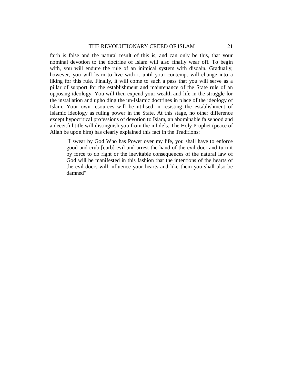#### THE REVOLUTIONARY CREED OF ISLAM 21

faith is false and the natural result of this is, and can only be this, that your nominal devotion to the doctrine of Islam will also finally wear off. To begin with, you will endure the rule of an inimical system with disdain. Gradually, however, you will learn to live with it until your contempt will change into a liking for this rule. Finally, it will come to such a pass that you will serve as a pillar of support for the establishment and maintenance of the State rule of an opposing ideology. You will then expend your wealth and life in the struggle for the installation and upholding the un-Islamic doctrines in place of the ideology of Islam. Your own resources will be utilised in resisting the establishment of Islamic ideology as ruling power in the State. At this stage, no other difference except hypocritical professions of devotion to Islam, an abominable falsehood and a deceitful title will distinguish you from the infidels. The Holy Prophet (peace of Allah be upon him) has clearly explained this fact in the Traditions:

"I swear by God Who has Power over my life, you shall have to enforce good and crub [curb] evil and arrest the hand of the evil-doer and turn it by force to do right or the inevitable consequences of the natural law of God will be manifested in this fashion that the intentions of the hearts of the evil-doers will influence your hearts and like them you shall also be damned"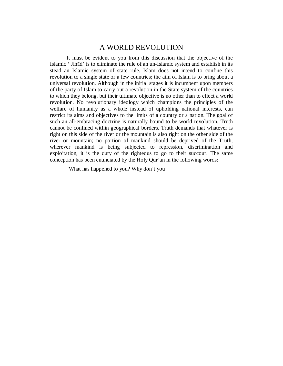## A WORLD REVOLUTION

It must be evident to you from this discussion that the objective of the Islamic ' Jihād' is to eliminate the rule of an un-Islamic system and establish in its stead an Islamic system of state rule. Islam does not intend to confine this revolution to a single state or a few countries; the aim of Islam is to bring about a universal revolution. Although in the initial stages it is incumbent upon members of the party of Islam to carry out a revolution in the State system of the countries to which they belong, but their ultimate objective is no other than to effect a world revolution. No revolutionary ideology which champions the principles of the welfare of humanity as a whole instead of upholding national interests, can restrict its aims and objectives to the limits of a country or a nation. The goal of such an all-embracing doctrine is naturally bound to be world revolution. Truth cannot be confined within geographical borders. Truth demands that whatever is right on this side of the river or the mountain is also right on the other side of the river or mountain; no portion of mankind should be deprived of the Truth; wherever mankind is being subjected to repression, discrimination and exploitation, it is the duty of the righteous to go to their succour. The same conception has been enunciated by the Holy Qur'an in the following words:

"What has happened to you? Why don't you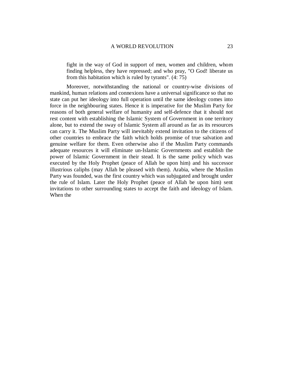fight in the way of God in support of men, women and children, whom finding helpless, they have repressed; and who pray, "O God! liberate us from this habitation which is ruled by tyrants". (4: 75)

Moreover, notwithstanding the national or country-wise divisions of mankind, human relations and connexions have a universal significance so that no state can put her ideology into full operation until the same ideology comes into force in the neighbouring states. Hence it is imperative for the Muslim Party for reasons of both general welfare of humanity and self-defence that it should not rest content with establishing the Islamic System of Government in one territory alone, but to extend the sway of Islamic System all around as far as its resources can carry it. The Muslim Party will inevitably extend invitation to the citizens of other countries to embrace the faith which holds promise of true salvation and genuine welfare for them. Even otherwise also if the Muslim Party commands adequate resources it will eliminate un-Islamic Governments and establish the power of Islamic Government in their stead. It is the same policy which was executed by the Holy Prophet (peace of Allah be upon him) and his successor illustrious caliphs (may Allah be pleased with them). Arabia, where the Muslim Party was founded, was the first country which was subjugated and brought under the rule of Islam. Later the Holy Prophet (peace of Allah be upon him) sent invitations to other surrounding states to accept the faith and ideology of Islam. When the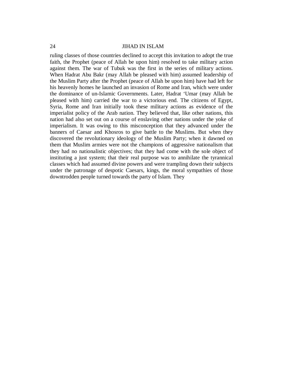ruling classes of those countries declined to accept this invitation to adopt the true faith, the Prophet (peace of Allah be upon him) resolved to take military action against them. The war of Tubuk was the first in the series of military actions. When Hadrat Abu Bakr (may Allah be pleased with him) assumed leadership of the Muslim Party after the Prophet (peace of Allah be upon him) have had left for his heavenly homes he launched an invasion of Rome and Iran, which were under the dominance of un-Islamic Governments. Later, Hadrat 'Umar (may Allah be pleased with him) carried the war to a victorious end. The citizens of Egypt, Syria, Rome and Iran initially took these military actions as evidence of the imperialist policy of the Arab nation. They believed that, like other nations, this nation had also set out on a course of enslaving other nations under the yoke of imperialism. It was owing to this misconception that they advanced under the banners of Caesar and Khosros to give battle to the Muslims. But when they discovered the revolutionary ideology of the Muslim Party; when it dawned on them that Muslim armies were not the champions of aggressive nationalism that they had no nationalistic objectives; that they had come with the sole object of instituting a just system; that their real purpose was to annihilate the tyrannical classes which had assumed divine powers and were trampling down their subjects under the patronage of despotic Caesars, kings, the moral sympathies of those downtrodden people turned towards the party of Islam. They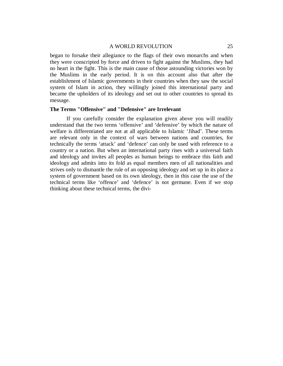#### A WORLD REVOLUTION 25

began to forsake their allegiance to the flags of their own monarchs and when they were conscripted by force and driven to fight against the Muslims, they had no heart in the fight. This is the main cause of those astounding victories won by the Muslims in the early period. It is on this account also that after the establishment of Islamic governments in their countries when they saw the social system of Islam in action, they willingly joined this international party and became the upholders of its ideology and set out to other countries to spread its message.

#### **The Terms "Offensive" and "Defensive" are Irrelevant**

If you carefully consider the explanation given above you will readily understand that the two terms 'offensive' and 'defensive' by which the nature of welfare is differentiated are not at all applicable to Islamic 'Jihad'. These terms are relevant only in the context of wars between nations and countries, for technically the terms 'attack' and 'defence' can only be used with reference to a country or a nation. But when an international party rises with a universal faith and ideology and invites all peoples as human beings to embrace this faith and ideology and admits into its fold as equal members men of all nationalities and strives only to dismantle the rule of an opposing ideology and set up in its place a system of government based on its own ideology, then in this case the use of the technical terms like 'offence' and 'defence' is not germane. Even if we stop thinking about these technical terms, the divi-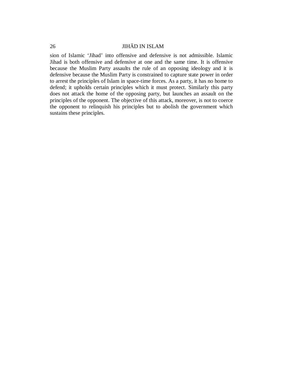sion of Islamic 'Jihad' into offensive and defensive is not admissible. Islamic Jihad is both offensive and defensive at one and the same time. It is offensive because the Muslim Party assaults the rule of an opposing ideology and it is defensive because the Muslim Party is constrained to capture state power in order to arrest the principles of Islam in space-time forces. As a party, it has no home to defend; it upholds certain principles which it must protect. Similarly this party does not attack the home of the opposing party, but launches an assault on the principles of the opponent. The objective of this attack, moreover, is not to coerce the opponent to relinquish his principles but to abolish the government which sustains these principles.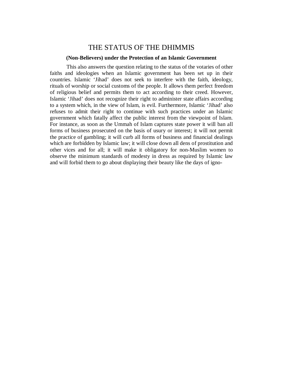## THE STATUS OF THE DHIMMIS

#### **(Non-Believers) under the Protection of an Islamic Government**

This also answers the question relating to the status of the votaries of other faiths and ideologies when an Islamic government has been set up in their countries. Islamic 'Jihad' does not seek to interfere with the faith, ideology, rituals of worship or social customs of the people. It allows them perfect freedom of religious belief and permits them to act according to their creed. However, Islamic 'Jihad' does not recognize their right to administer state affairs according to a system which, in the view of Islam, is evil. Furthermore, Islamic 'Jihad' also refuses to admit their right to continue with such practices under an Islamic government which fatally affect the public interest from the viewpoint of Islam. For instance, as soon as the Ummah of Islam captures state power it will ban all forms of business prosecuted on the basis of usury or interest; it will not permit the practice of gambling; it will curb all forms of business and financial dealings which are forbidden by Islamic law; it will close down all dens of prostitution and other vices and for all; it will make it obligatory for non-Muslim women to observe the minimum standards of modesty in dress as required by Islamic law and will forbid them to go about displaying their beauty like the days of igno-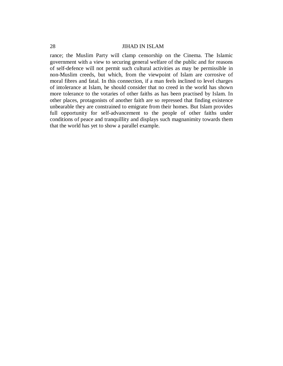rance; the Muslim Party will clamp censorship on the Cinema. The Islamic government with a view to securing general welfare of the public and for reasons of self-defence will not permit such cultural activities as may be permissible in non-Muslim creeds, but which, from the viewpoint of Islam are corrosive of moral fibres and fatal. In this connection, if a man feels inclined to level charges of intolerance at Islam, he should consider that no creed in the world has shown more tolerance to the votaries of other faiths as has been practised by Islam. In other places, protagonists of another faith are so repressed that finding existence unbearable they are constrained to emigrate from their homes. But Islam provides full opportunity for self-advancement to the people of other faiths under conditions of peace and tranquillity and displays such magnanimity towards them that the world has yet to show a parallel example.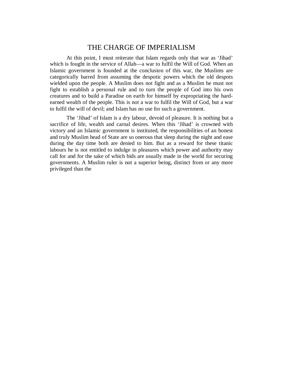## THE CHARGE OF IMPERIALISM

At this point, I must reiterate that Islam regards only that war as 'Jihad' which is fought in the service of Allah—a war to fulfil the Will of God. When an Islamic government is founded at the conclusion of this war, the Muslims are categorically barred from assuming the despotic powers which the old despots wielded upon the people. A Muslim does not fight and as a Muslim he must not fight to establish a personal rule and to turn the people of God into his own creatures and to build a Paradise on earth for himself by expropriating the hardearned wealth of the people. This is not a war to fulfil the Will of God, but a war to fulfil the will of devil; and Islam has no use for such a government.

The 'Jihad' of Islam is a dry labour, devoid of pleasure. It is nothing but a sacrifice of life, wealth and carnal desires. When this 'Jihad' is crowned with victory and an Islamic government is instituted, the responsibilities of an honest and truly Muslim head of State are so onerous that sleep during the night and ease during the day time both are denied to him. But as a reward for these titanic labours he is not entitled to indulge in pleasures which power and authority may call for and for the sake of which bids are usually made in the world for securing governments. A Muslim ruler is not a superior being, distinct from or any more privileged than the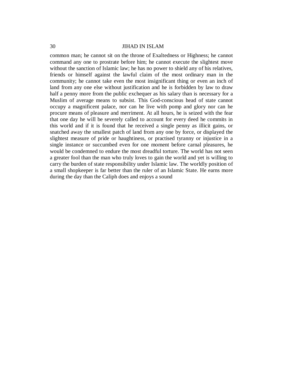common man; he cannot sit on the throne of Exaltedness or Highness; he cannot command any one to prostrate before him; he cannot execute the slightest move without the sanction of Islamic law; he has no power to shield any of his relatives, friends or himself against the lawful claim of the most ordinary man in the community; he cannot take even the most insignificant thing or even an inch of land from any one else without justification and he is forbidden by law to draw half a penny more from the public exchequer as his salary than is necessary for a Muslim of average means to subsist. This God-conscious head of state cannot occupy a magnificent palace, nor can he live with pomp and glory nor can he procure means of pleasure and merriment. At all hours, he is seized with the fear that one day he will be severely called to account for every deed he commits in this world and if it is found that he received a single penny as illicit gains, or snatched away the smallest patch of land from any one by force, or displayed the slightest measure of pride or haughtiness, or practised tyranny or injustice in a single instance or succumbed even for one moment before carnal pleasures, he would be condemned to endure the most dreadful torture. The world has not seen a greater fool than the man who truly loves to gain the world and yet is willing to carry the burden of state responsibility under Islamic law. The worldly position of a small shopkeeper is far better than the ruler of an Islamic State. He earns more during the day than the Caliph does and enjoys a sound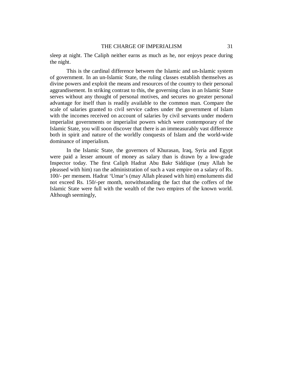sleep at night. The Caliph neither earns as much as he, nor enjoys peace during the night.

This is the cardinal difference between the Islamic and un-Islamic system of government. In an un-Islamic State, the ruling classes establish themselves as divine powers and exploit the means and resources of the country to their personal aggrandisement. In striking contrast to this, the governing class in an Islamic State serves without any thought of personal motives, and secures no greater personal advantage for itself than is readily available to the common man. Compare the scale of salaries granted to civil service cadres under the government of Islam with the incomes received on account of salaries by civil servants under modern imperialist governments or imperialist powers which were contemporary of the Islamic State, you will soon discover that there is an immeasurably vast difference both in spirit and nature of the worldly conquests of Islam and the world-wide dominance of imperialism.

In the Islamic State, the governors of Khurasan, Iraq, Syria and Egypt were paid a lesser amount of money as salary than is drawn by a low-grade Inspector today. The first Caliph Hadrat Abu Bakr Siddique (may Allah be pleassed with him) ran the administration of such a vast empire on a salary of Rs. 100/- per mensem. Hadrat 'Umar's (may Allah pleased with him) emoluments did not exceed Rs. 150/-per month, notwithstanding the fact that the coffers of the Islamic State were full with the wealth of the two empires of the known world. Although seemingly,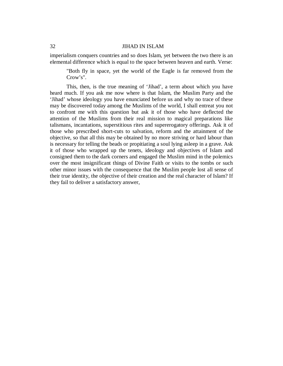imperialism conquers countries and so does Islam, yet between the two there is an elemental difference which is equal to the space between heaven and earth. Verse:

"Both fly in space, yet the world of the Eagle is far removed from the Crow's".

This, then, is the true meaning of 'Jihad', a term about which you have heard much. If you ask me now where is that Islam, the Muslim Party and the 'Jihad' whose ideology you have enunciated before us and why no trace of these may be discovered today among the Muslims of the world, I shall entreat you not to confront me with this question but ask it of those who have deflected the attention of the Muslims from their real mission to magical preparations like talismans, incantations, superstitious rites and supererogatory offerings. Ask it of those who prescribed short-cuts to salvation, reform and the attainment of the objective, so that all this may be obtained by no more striving or hard labour than is necessary for telling the beads or propitiating a soul lying asleep in a grave. Ask it of those who wrapped up the tenets, ideology and objectives of Islam and consigned them to the dark corners and engaged the Muslim mind in the polemics over the most insignificant things of Divine Faith or visits to the tombs or such other minor issues with the consequence that the Muslim people lost all sense of their true identity, the objective of their creation and the real character of Islam? If they fail to deliver a satisfactory answer,